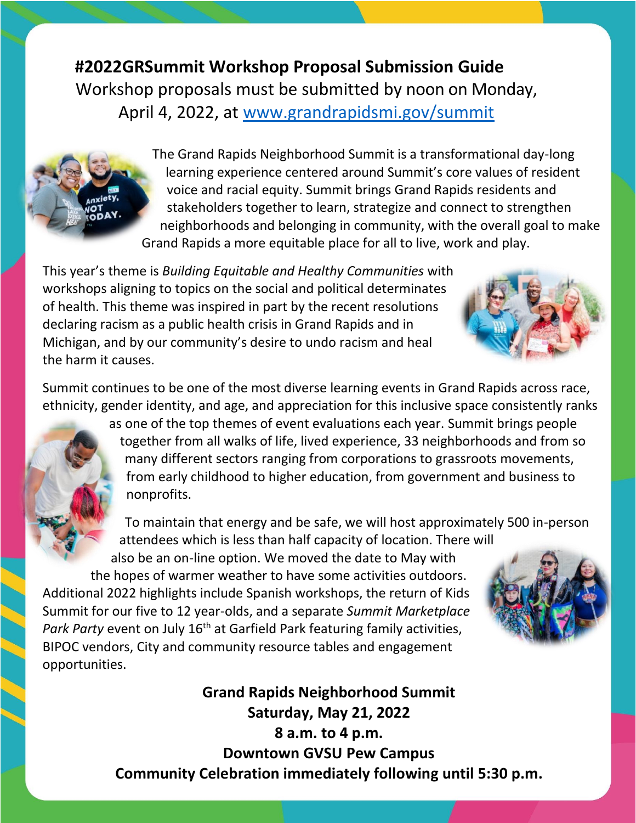**#2022GRSummit Workshop Proposal Submission Guide** Workshop proposals must be submitted by noon on Monday, April 4, 2022, at [www.grandrapidsmi.gov/summit](http://www.grandrapidsmi.gov/summit)

> The Grand Rapids Neighborhood Summit is a transformational day-long learning experience centered around Summit's core values of resident voice and racial equity. Summit brings Grand Rapids residents and stakeholders together to learn, strategize and connect to strengthen neighborhoods and belonging in community, with the overall goal to make Grand Rapids a more equitable place for all to live, work and play.

This year's theme is *Building Equitable and Healthy Communities* with workshops aligning to topics on the social and political determinates of health. This theme was inspired in part by the recent resolutions declaring racism as a public health crisis in Grand Rapids and in Michigan, and by our community's desire to undo racism and heal the harm it causes.

Summit continues to be one of the most diverse learning events in Grand Rapids across race, ethnicity, gender identity, and age, and appreciation for this inclusive space consistently ranks

> as one of the top themes of event evaluations each year. Summit brings people together from all walks of life, lived experience, 33 neighborhoods and from so many different sectors ranging from corporations to grassroots movements, from early childhood to higher education, from government and business to nonprofits.

> To maintain that energy and be safe, we will host approximately 500 in-person attendees which is less than half capacity of location. There will also be an on-line option. We moved the date to May with

the hopes of warmer weather to have some activities outdoors. Additional 2022 highlights include Spanish workshops, the return of Kids Summit for our five to 12 year-olds, and a separate *Summit Marketplace*  Park Party event on July 16<sup>th</sup> at Garfield Park featuring family activities, BIPOC vendors, City and community resource tables and engagement opportunities.

> **Grand Rapids Neighborhood Summit Saturday, May 21, 2022 8 a.m. to 4 p.m. Downtown GVSU Pew Campus Community Celebration immediately following until 5:30 p.m.**



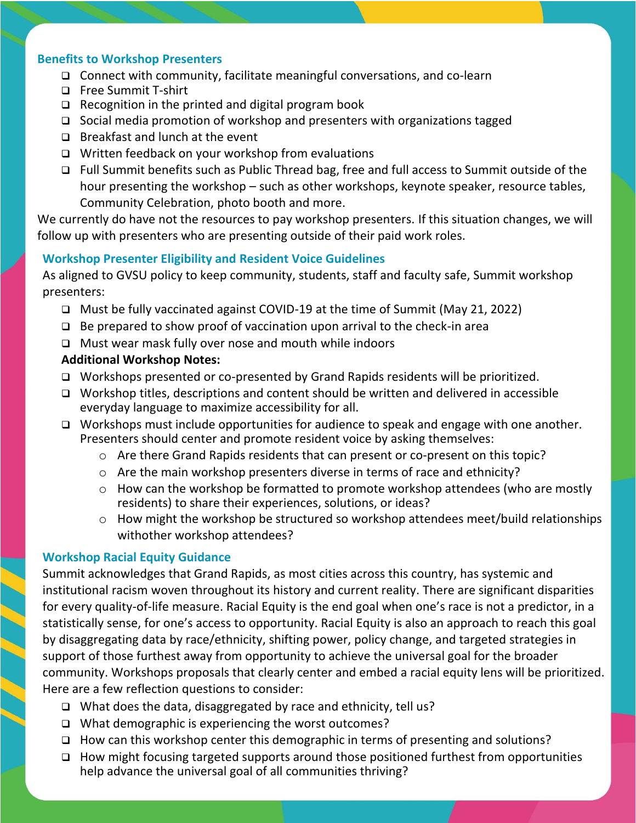## **Benefits to Workshop Presenters**

- ❑ Connect with community, facilitate meaningful conversations, and co-learn
- ❑ Free Summit T-shirt
- ❑ Recognition in the printed and digital program book
- ❑ Social media promotion of workshop and presenters with organizations tagged
- ❑ Breakfast and lunch at the event
- ❑ Written feedback on your workshop from evaluations
- ❑ Full Summit benefits such as Public Thread bag, free and full access to Summit outside of the hour presenting the workshop – such as other workshops, keynote speaker, resource tables, Community Celebration, photo booth and more.

We currently do have not the resources to pay workshop presenters. If this situation changes, we will follow up with presenters who are presenting outside of their paid work roles.

## **Workshop Presenter Eligibility and Resident Voice Guidelines**

As aligned to GVSU policy to keep community, students, staff and faculty safe, Summit workshop presenters:

- ❑ Must be fully vaccinated against COVID-19 at the time of Summit (May 21, 2022)
- ❑ Be prepared to show proof of vaccination upon arrival to the check-in area
- ❑ Must wear mask fully over nose and mouth while indoors

# **Additional Workshop Notes:**

- ❑ Workshops presented or co-presented by Grand Rapids residents will be prioritized.
- ❑ Workshop titles, descriptions and content should be written and delivered in accessible everyday language to maximize accessibility for all.
- ❑ Workshops must include opportunities for audience to speak and engage with one another. Presenters should center and promote resident voice by asking themselves:
	- o Are there Grand Rapids residents that can present or co-present on this topic?
	- o Are the main workshop presenters diverse in terms of race and ethnicity?
	- o How can the workshop be formatted to promote workshop attendees (who are mostly residents) to share their experiences, solutions, or ideas?
	- o How might the workshop be structured so workshop attendees meet/build relationships withother workshop attendees?

## **Workshop Racial Equity Guidance**

Summit acknowledges that Grand Rapids, as most cities across this country, has systemic and institutional racism woven throughout its history and current reality. There are significant disparities for every quality-of-life measure. Racial Equity is the end goal when one's race is not a predictor, in a statistically sense, for one's access to opportunity. Racial Equity is also an approach to reach this goal by disaggregating data by race/ethnicity, shifting power, policy change, and targeted strategies in support of those furthest away from opportunity to achieve the universal goal for the broader community. Workshops proposals that clearly center and embed a racial equity lens will be prioritized. Here are a few reflection questions to consider:

- ❑ What does the data, disaggregated by race and ethnicity, tell us?
- ❑ What demographic is experiencing the worst outcomes?
- ❑ How can this workshop center this demographic in terms of presenting and solutions?
- ❑ How might focusing targeted supports around those positioned furthest from opportunities help advance the universal goal of all communities thriving?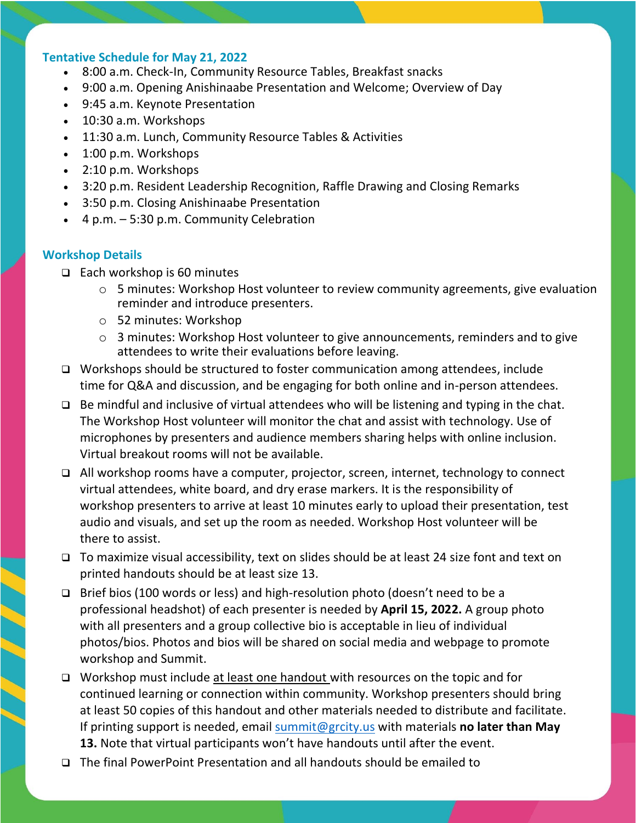#### **Tentative Schedule for May 21, 2022**

- 8:00 a.m. Check-In, Community Resource Tables, Breakfast snacks
- 9:00 a.m. Opening Anishinaabe Presentation and Welcome; Overview of Day
- 9:45 a.m. Keynote Presentation
- 10:30 a.m. Workshops
- 11:30 a.m. Lunch, Community Resource Tables & Activities
- 1:00 p.m. Workshops
- 2:10 p.m. Workshops
- 3:20 p.m. Resident Leadership Recognition, Raffle Drawing and Closing Remarks
- 3:50 p.m. Closing Anishinaabe Presentation
- 4 p.m. 5:30 p.m. Community Celebration

#### **Workshop Details**

- ❑ Each workshop is 60 minutes
	- $\circ$  5 minutes: Workshop Host volunteer to review community agreements, give evaluation reminder and introduce presenters.
	- o 52 minutes: Workshop
	- o 3 minutes: Workshop Host volunteer to give announcements, reminders and to give attendees to write their evaluations before leaving.
- ❑ Workshops should be structured to foster communication among attendees, include time for Q&A and discussion, and be engaging for both online and in-person attendees.
- ❑ Be mindful and inclusive of virtual attendees who will be listening and typing in the chat. The Workshop Host volunteer will monitor the chat and assist with technology. Use of microphones by presenters and audience members sharing helps with online inclusion. Virtual breakout rooms will not be available.
- ❑ All workshop rooms have a computer, projector, screen, internet, technology to connect virtual attendees, white board, and dry erase markers. It is the responsibility of workshop presenters to arrive at least 10 minutes early to upload their presentation, test audio and visuals, and set up the room as needed. Workshop Host volunteer will be there to assist.
- ❑ To maximize visual accessibility, text on slides should be at least 24 size font and text on printed handouts should be at least size 13.
- ❑ Brief bios (100 words or less) and high-resolution photo (doesn't need to be a professional headshot) of each presenter is needed by **April 15, 2022.** A group photo with all presenters and a group collective bio is acceptable in lieu of individual photos/bios. Photos and bios will be shared on social media and webpage to promote workshop and Summit.
- □ Workshop must include at least one handout with resources on the topic and for continued learning or connection within community. Workshop presenters should bring at least 50 copies of this handout and other materials needed to distribute and facilitate. If printing support is needed, email [summit@grcity.us](mailto:summit@grcity.us) with materials **no later than May 13.** Note that virtual participants won't have handouts until after the event.
- ❑ The final PowerPoint Presentation and all handouts should be emailed to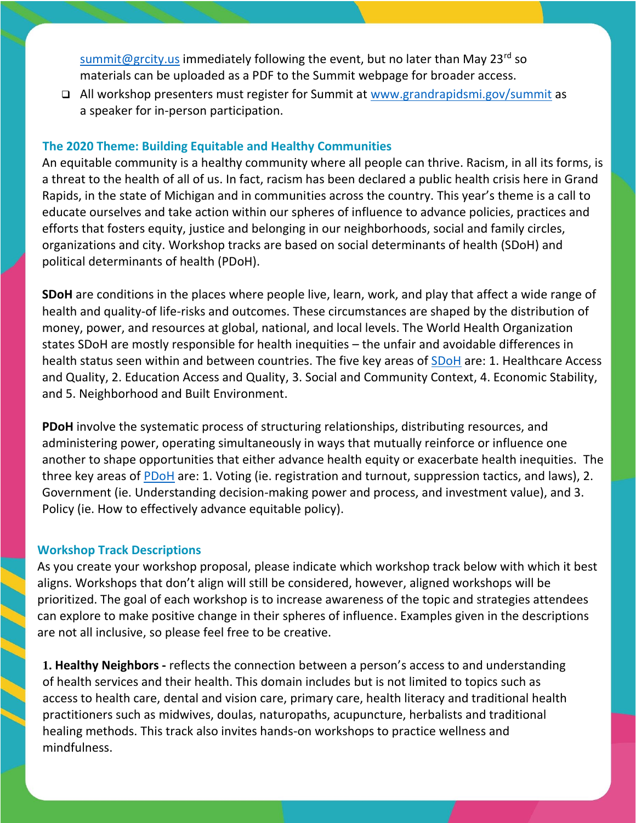[summit@grcity.us](mailto:summit@grcity.us) immediately following the event, but no later than May 23<sup>rd</sup> so materials can be uploaded as a PDF to the Summit webpage for broader access.

❑ All workshop presenters must register for Summit at [www.grandrapidsmi.gov/summit](http://www.grandrapidsmi.gov/summit) as a speaker for in-person participation.

# **The 2020 Theme: Building Equitable and Healthy Communities**

An equitable community is a healthy community where all people can thrive. Racism, in all its forms, is a threat to the health of all of us. In fact, racism has been declared a public health crisis here in Grand Rapids, in the state of Michigan and in communities across the country. This year's theme is a call to educate ourselves and take action within our spheres of influence to advance policies, practices and efforts that fosters equity, justice and belonging in our neighborhoods, social and family circles, organizations and city. Workshop tracks are based on social determinants of health (SDoH) and political determinants of health (PDoH).

**SDoH** are conditions in the places where people live, learn, work, and play that affect a wide range of health and quality-of life-risks and outcomes. These circumstances are shaped by the distribution of money, power, and resources at global, national, and local levels. The World Health Organization states SDoH are mostly responsible for health inequities – the unfair and avoidable differences in health status seen within and between countries. The five key areas of [SDoH](https://www.cdc.gov/socialdeterminants/about.html) are: 1. Healthcare Access and Quality, 2. Education Access and Quality, 3. Social and Community Context, 4. Economic Stability, and 5. Neighborhood and Built Environment.

**PDoH** involve the systematic process of structuring relationships, distributing resources, and administering power, operating simultaneously in ways that mutually reinforce or influence one another to shape opportunities that either advance health equity or exacerbate health inequities. The three key areas of [PDoH](https://satcherinstitute.org/priorities/political-determinants-of-health/) are: 1. Voting (ie. registration and turnout, suppression tactics, and laws), 2. Government (ie. Understanding decision-making power and process, and investment value), and 3. Policy (ie. How to effectively advance equitable policy).

## **Workshop Track Descriptions**

As you create your workshop proposal, please indicate which workshop track below with which it best aligns. Workshops that don't align will still be considered, however, aligned workshops will be prioritized. The goal of each workshop is to increase awareness of the topic and strategies attendees can explore to make positive change in their spheres of influence. Examples given in the descriptions are not all inclusive, so please feel free to be creative.

**1. Healthy Neighbors -** reflects the connection between a person's access to and understanding of health services and their health. This domain includes but is not limited to topics such as access to health care, dental and vision care, primary care, health literacy and traditional health practitioners such as midwives, doulas, naturopaths, acupuncture, herbalists and traditional healing methods. This track also invites hands-on workshops to practice wellness and mindfulness.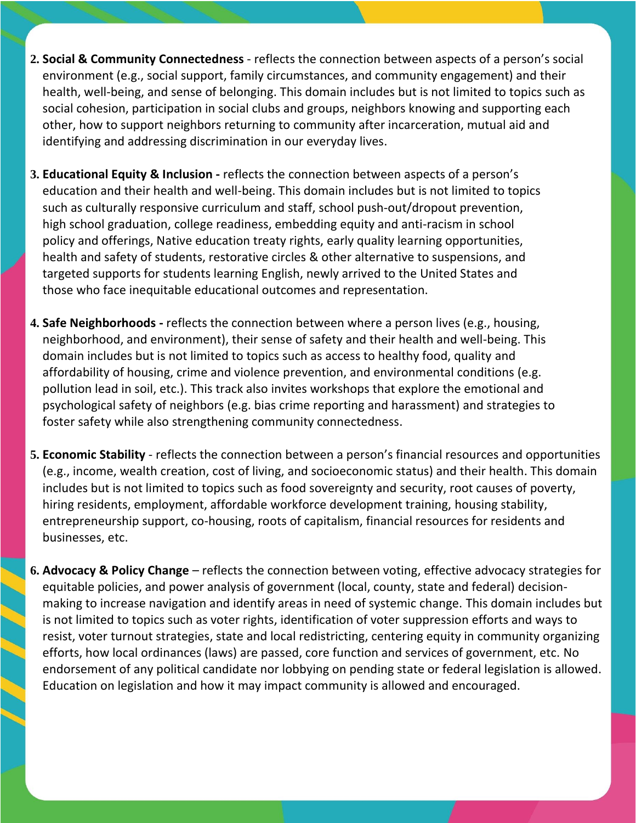- **2. Social & Community Connectedness** reflects the connection between aspects of a person's social environment (e.g., social support, family circumstances, and community engagement) and their health, well-being, and sense of belonging. This domain includes but is not limited to topics such as social cohesion, participation in social clubs and groups, neighbors knowing and supporting each other, how to support neighbors returning to community after incarceration, mutual aid and identifying and addressing discrimination in our everyday lives.
- **3. Educational Equity & Inclusion -** reflects the connection between aspects of a person's education and their health and well-being. This domain includes but is not limited to topics such as culturally responsive curriculum and staff, school push-out/dropout prevention, high school graduation, college readiness, embedding equity and anti-racism in school policy and offerings, Native education treaty rights, early quality learning opportunities, health and safety of students, restorative circles & other alternative to suspensions, and targeted supports for students learning English, newly arrived to the United States and those who face inequitable educational outcomes and representation.
- **4. Safe Neighborhoods -** reflects the connection between where a person lives (e.g., housing, neighborhood, and environment), their sense of safety and their health and well-being. This domain includes but is not limited to topics such as access to healthy food, quality and affordability of housing, crime and violence prevention, and environmental conditions (e.g. pollution lead in soil, etc.). This track also invites workshops that explore the emotional and psychological safety of neighbors (e.g. bias crime reporting and harassment) and strategies to foster safety while also strengthening community connectedness.
- **5. Economic Stability** reflects the connection between a person's financial resources and opportunities (e.g., income, wealth creation, cost of living, and socioeconomic status) and their health. This domain includes but is not limited to topics such as food sovereignty and security, root causes of poverty, hiring residents, employment, affordable workforce development training, housing stability, entrepreneurship support, co-housing, roots of capitalism, financial resources for residents and businesses, etc.
- **6. Advocacy & Policy Change** reflects the connection between voting, effective advocacy strategies for equitable policies, and power analysis of government (local, county, state and federal) decisionmaking to increase navigation and identify areas in need of systemic change. This domain includes but is not limited to topics such as voter rights, identification of voter suppression efforts and ways to resist, voter turnout strategies, state and local redistricting, centering equity in community organizing efforts, how local ordinances (laws) are passed, core function and services of government, etc. No endorsement of any political candidate nor lobbying on pending state or federal legislation is allowed. Education on legislation and how it may impact community is allowed and encouraged.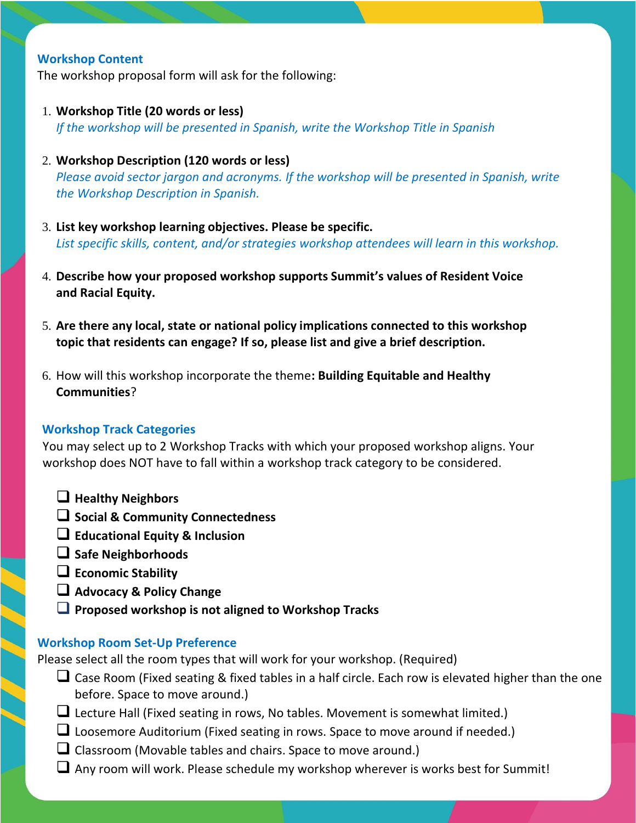## **Workshop Content**

The workshop proposal form will ask for the following:

- 1. **Workshop Title (20 words or less)** *If the workshop will be presented in Spanish, write the Workshop Title in Spanish*
- 2. **Workshop Description (120 words or less)** *Please avoid sector jargon and acronyms. If the workshop will be presented in Spanish, write the Workshop Description in Spanish.*
- 3. **List key workshop learning objectives. Please be specific.** *List specific skills, content, and/or strategies workshop attendees will learn in this workshop.*
- 4. **Describe how your proposed workshop supports Summit's values of Resident Voice and Racial Equity.**
- 5. **Are there any local, state or national policy implications connected to this workshop topic that residents can engage? If so, please list and give a brief description.**
- 6. How will this workshop incorporate the theme**: Building Equitable and Healthy Communities**?

#### **Workshop Track Categories**

You may select up to 2 Workshop Tracks with which your proposed workshop aligns. Your workshop does NOT have to fall within a workshop track category to be considered.

- ❑ **Healthy Neighbors**
- ❑ **Social & Community Connectedness**
- ❑ **Educational Equity & Inclusion**
- ❑ **Safe Neighborhoods**
- ❑ **Economic Stability**
- ❑ **Advocacy & Policy Change**
- ❑ **Proposed workshop is not aligned to Workshop Tracks**

#### **Workshop Room Set-Up Preference**

Please select all the room types that will work for your workshop. (Required)

- ❑ Case Room (Fixed seating & fixed tables in a half circle. Each row is elevated higher than the one before. Space to move around.)
- ❑ Lecture Hall (Fixed seating in rows, No tables. Movement is somewhat limited.)
- □ Loosemore Auditorium (Fixed seating in rows. Space to move around if needed.)
- $\Box$  Classroom (Movable tables and chairs. Space to move around.)
- ❑ Any room will work. Please schedule my workshop wherever is works best for Summit!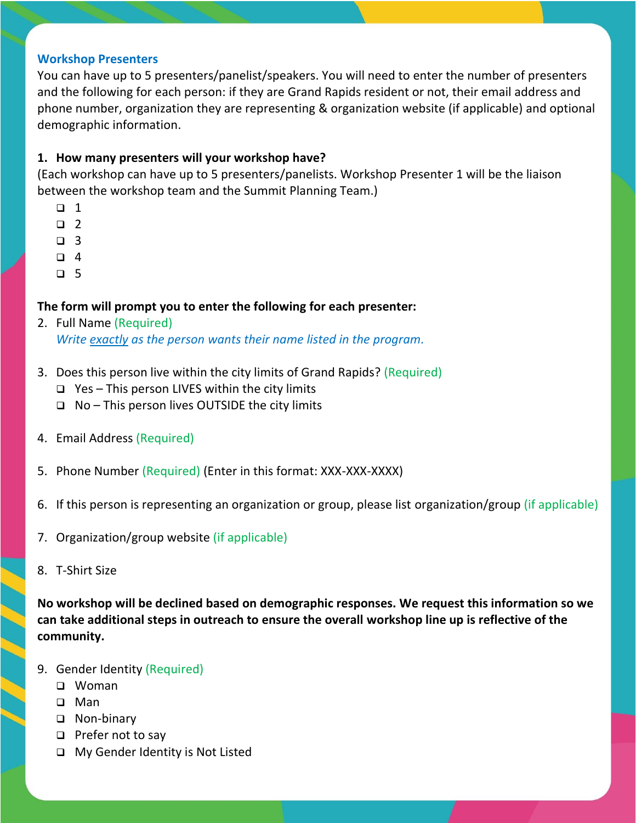#### **Workshop Presenters**

You can have up to 5 presenters/panelist/speakers. You will need to enter the number of presenters and the following for each person: if they are Grand Rapids resident or not, their email address and phone number, organization they are representing & organization website (if applicable) and optional demographic information.

# **1. How many presenters will your workshop have?**

(Each workshop can have up to 5 presenters/panelists. Workshop Presenter 1 will be the liaison between the workshop team and the Summit Planning Team.)

- ❑ 1
- ❑ 2
- ❑ 3
- ❑ 4
- ❑ 5

## **The form will prompt you to enter the following for each presenter:**

- 2. Full Name (Required) *Write exactly as the person wants their name listed in the program.*
- 3. Does this person live within the city limits of Grand Rapids? (Required)
	- ❑ Yes This person LIVES within the city limits
	- ❑ No This person lives OUTSIDE the city limits
- 4. Email Address (Required)
- 5. Phone Number (Required) (Enter in this format: XXX-XXX-XXXX)
- 6. If this person is representing an organization or group, please list organization/group (if applicable)
- 7. Organization/group website (if applicable)
- 8. T-Shirt Size

**No workshop will be declined based on demographic responses. We request this information so we can take additional steps in outreach to ensure the overall workshop line up is reflective of the community.**

- 9. Gender Identity (Required)
	- ❑ Woman
	- ❑ Man
	- ❑ Non-binary
	- ❑ Prefer not to say
	- ❑ My Gender Identity is Not Listed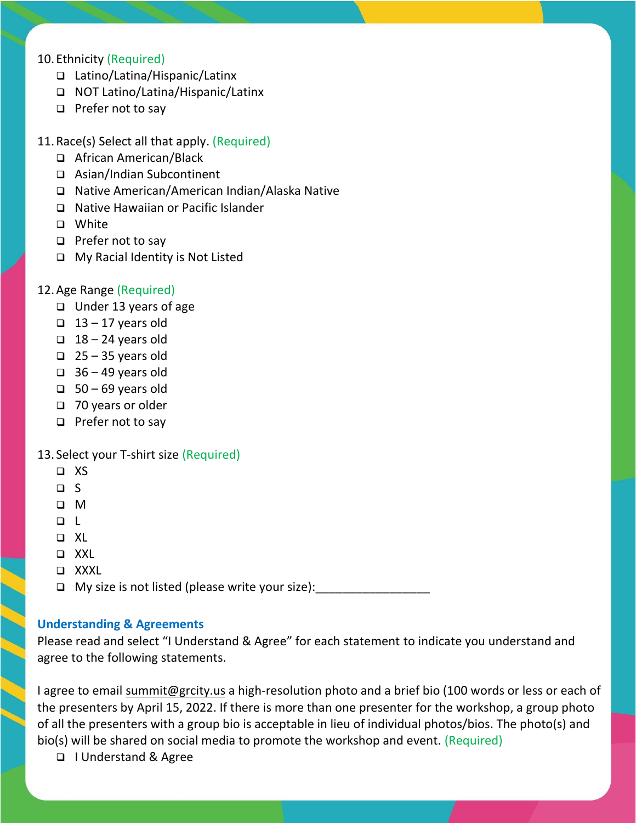# 10.Ethnicity (Required)

- ❑ Latino/Latina/Hispanic/Latinx
- ❑ NOT Latino/Latina/Hispanic/Latinx
- ❑ Prefer not to say
- 11.Race(s) Select all that apply. (Required)
	- ❑ African American/Black
	- ❑ Asian/Indian Subcontinent
	- ❑ Native American/American Indian/Alaska Native
	- ❑ Native Hawaiian or Pacific Islander
	- ❑ White
	- ❑ Prefer not to say
	- ❑ My Racial Identity is Not Listed

#### 12.Age Range (Required)

- ❑ Under 13 years of age
- $\Box$  13 17 years old
- $\Box$  18 24 years old
- $\Box$  25 35 years old
- $\Box$  36 49 years old
- ❑ 50 69 years old
- ❑ 70 years or older
- ❑ Prefer not to say

#### 13. Select your T-shirt size (Required)

- ❑ XS
- ❑ S
- ❑ M
- ❑ L
- ❑ XL
- ❑ XXL
- ❑ XXXL

 $\Box$  My size is not listed (please write your size):  $\Box$ 

#### **Understanding & Agreements**

Please read and select "I Understand & Agree" for each statement to indicate you understand and agree to the following statements.

I agree to email [summit@grcity.us](mailto:summit@grcity.us) a high-resolution photo and a brief bio (100 words or less or each of the presenters by April 15, 2022. If there is more than one presenter for the workshop, a group photo of all the presenters with a group bio is acceptable in lieu of individual photos/bios. The photo(s) and bio(s) will be shared on social media to promote the workshop and event. (Required)

❑ I Understand & Agree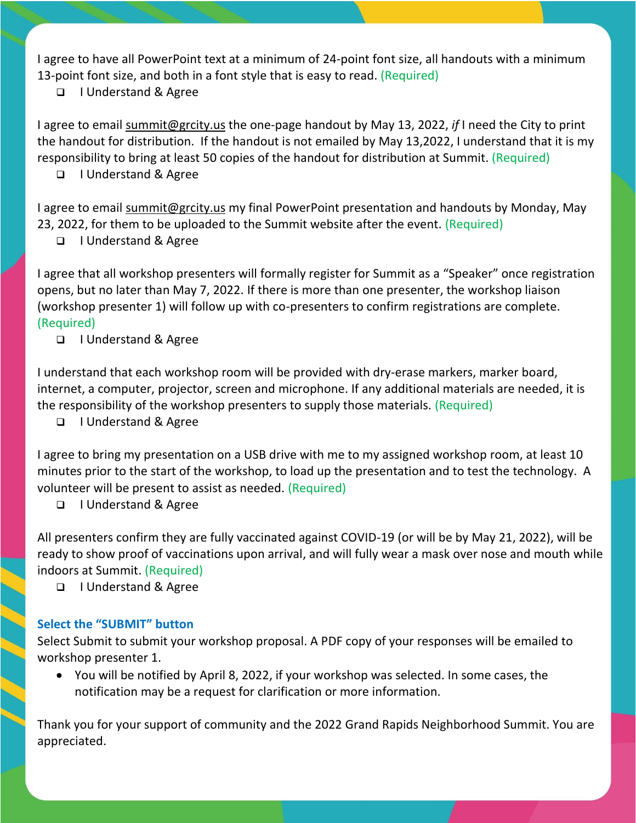I agree to have all PowerPoint text at a minimum of 24-point font size, all handouts with a minimum 13-point font size, and both in a font style that is easy to read. (Required)

❑ I Understand & Agree

I agree to email [summit@grcity.us](mailto:summit@grcity.us) the one-page handout by May 13, 2022, *if* I need the City to print the handout for distribution. If the handout is not emailed by May 13,2022, I understand that it is my responsibility to bring at least 50 copies of the handout for distribution at Summit. (Required)

# ❑ I Understand & Agree

I agree to email [summit@grcity.us](mailto:summit@grcity.us) my final PowerPoint presentation and handouts by Monday, May 23, 2022, for them to be uploaded to the Summit website after the event. (Required)

❑ I Understand & Agree

I agree that all workshop presenters will formally register for Summit as a "Speaker" once registration opens, but no later than May 7, 2022. If there is more than one presenter, the workshop liaison (workshop presenter 1) will follow up with co-presenters to confirm registrations are complete. (Required)

❑ I Understand & Agree

I understand that each workshop room will be provided with dry-erase markers, marker board, internet, a computer, projector, screen and microphone. If any additional materials are needed, it is the responsibility of the workshop presenters to supply those materials. (Required)

❑ I Understand & Agree

I agree to bring my presentation on a USB drive with me to my assigned workshop room, at least 10 minutes prior to the start of the workshop, to load up the presentation and to test the technology. A volunteer will be present to assist as needed. (Required)

❑ I Understand & Agree

All presenters confirm they are fully vaccinated against COVID-19 (or will be by May 21, 2022), will be ready to show proof of vaccinations upon arrival, and will fully wear a mask over nose and mouth while indoors at Summit. (Required)

❑ I Understand & Agree

# **Select the "SUBMIT" button**

Select Submit to submit your workshop proposal. A PDF copy of your responses will be emailed to workshop presenter 1.

• You will be notified by April 8, 2022, if your workshop was selected. In some cases, the notification may be a request for clarification or more information.

Thank you for your support of community and the 2022 Grand Rapids Neighborhood Summit. You are appreciated.